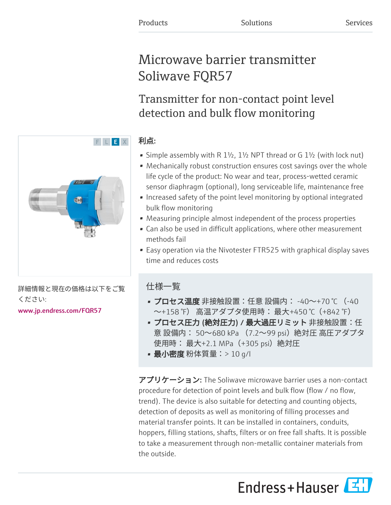# Microwave barrier transmitter Soliwave FQR57

Transmitter for non-contact point level detection and bulk flow monitoring

# 利点:

- Simple assembly with R  $1\frac{1}{2}$ ,  $1\frac{1}{2}$  NPT thread or G  $1\frac{1}{2}$  (with lock nut)
- Mechanically robust construction ensures cost savings over the whole life cycle of the product: No wear and tear, process-wetted ceramic sensor diaphragm (optional), long serviceable life, maintenance free
- Increased safety of the point level monitoring by optional integrated bulk flow monitoring
- Measuring principle almost independent of the process properties
- Can also be used in difficult applications, where other measurement methods fail
- Easy operation via the Nivotester FTR525 with graphical display saves time and reduces costs

# 仕様一覧

- プロセス温度 非接触設置:任意 設備内: -40~+70 ℃ (-40 〜+158 °F) 高温アダプタ使用時: 最大+450 ℃ (+842 °F)
- プロセス圧力 (絶対圧力) / 最大過圧リミット 非接触設置:任 意 設備内: 50~680 kPa (7.2~99 psi)絶対圧 高圧アダプタ 使用時: 最大+2.1 MPa(+305 psi)絶対圧
- **最小密度** 粉体質量:> 10 g/l

アプリケーション: The Soliwave microwave barrier uses a non-contact procedure for detection of point levels and bulk flow (flow / no flow, trend). The device is also suitable for detecting and counting objects, detection of deposits as well as monitoring of filling processes and material transfer points. It can be installed in containers, conduits, hoppers, filling stations, shafts, filters or on free fall shafts. It is possible to take a measurement through non-metallic container materials from the outside.

Endress+Hauser



詳細情報と現在の価格は以下をご覧 ください:

[www.jp.endress.com/FQR57](https://www.jp.endress.com/FQR57)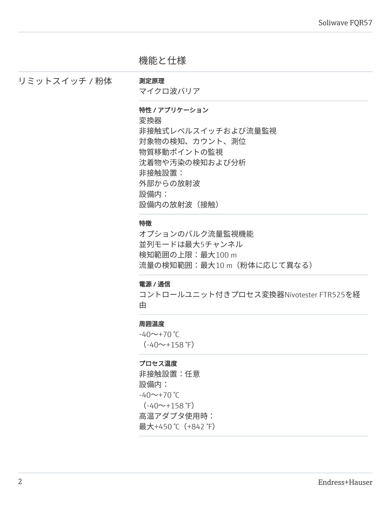# 機能と仕様

リミットスイッチ / 粉体 測定原理

マイクロ波バリア

## 特性 / アプリケーション

変換器

非接触式レベルスイッチおよび流量監視 対象物の検知、カウント、測位 物質移動ポイントの監視 沈着物や汚染の検知および分析 非接触設置: 外部からの放射波 設備内: 設備内の放射波 (接触)

#### 特徴

オプションのバルク流量監視機能 並列モードは最大5チャンネル 検知範囲の上限:最大100 m 流量の検知範囲:最大10 m(粉体に応じて異なる)

# 電源 / 通信

コントロールユニット付きプロセス変換器Nivotester FTR525を経 由

# 周囲温度

 $-40$ ~+70 °C  $(-40 \rightarrow +158 \text{°F})$ 

# プロセス温度

非接触設置:任意 設備内:  $-40$ ~+70 °C  $(-40 \sim +158 \text{ }^{\circ}\text{F})$ 高温アダプタ使用時: 最大+450℃ (+842 °F)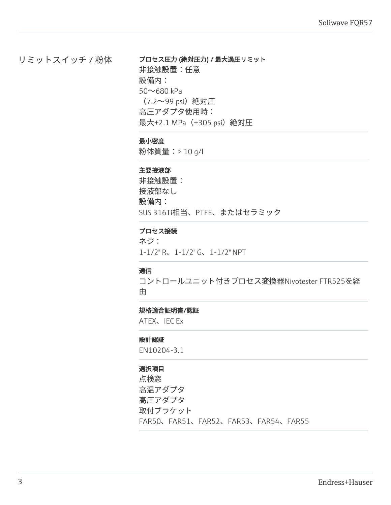# リミットスイッチ / 粉体

プロセス圧力 (絶対圧力) / 最大過圧リミット 非接触設置:任意 設備内: 50~680 kPa (7.2~99 psi)絶対圧 高圧アダプタ使用時: 最大+2.1 MPa(+305 psi)絶対圧

# 最小密度

粉体質量:> 10 g/l

#### 主要接液部

非接触設置: 接液部なし 設備内: SUS 316Ti相当、PTFE、またはセラミック

## プロセス接続

ネジ: 1-1/2" R、1-1/2" G、1-1/2" NPT

#### 通信

コントロールユニット付きプロセス変換器Nivotester FTR525を経 由

## 規格適合証明書/認証

ATEX、IEC Ex

#### 設計認証

EN10204-3.1

# 選択項目

点検窓 高温アダプタ 高圧アダプタ 取付ブラケット FAR50、FAR51、FAR52、FAR53、FAR54、FAR55